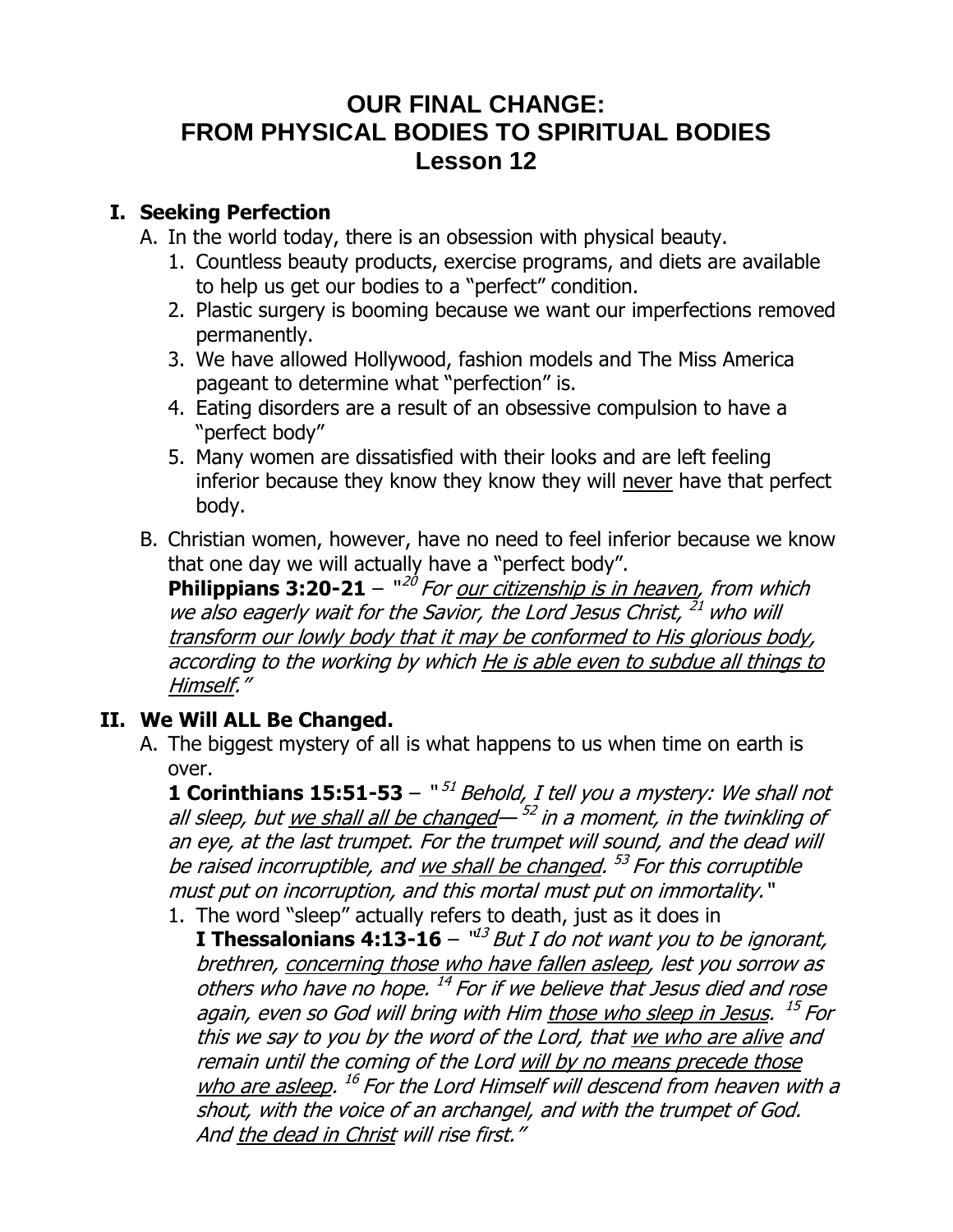# **OUR FINAL CHANGE: FROM PHYSICAL BODIES TO SPIRITUAL BODIES Lesson 12**

### **I. Seeking Perfection**

- A. In the world today, there is an obsession with physical beauty.
	- 1. Countless beauty products, exercise programs, and diets are available to help us get our bodies to a "perfect" condition.
	- 2. Plastic surgery is booming because we want our imperfections removed permanently.
	- 3. We have allowed Hollywood, fashion models and The Miss America pageant to determine what "perfection" is.
	- 4. Eating disorders are a result of an obsessive compulsion to have a "perfect body"
	- 5. Many women are dissatisfied with their looks and are left feeling inferior because they know they know they will never have that perfect body.
- B. Christian women, however, have no need to feel inferior because we know that one day we will actually have a "perfect body".

**Philippians 3:20-21** – "<sup>20</sup> For <u>our citizenship is in heaven</u>, from which we also eagerly wait for the Savior, the Lord Jesus Christ, <sup>21</sup> who will transform our lowly body that it may be conformed to His glorious body, according to the working by which He is able even to subdue all things to Himself."

## **II. We Will ALL Be Changed.**

A. The biggest mystery of all is what happens to us when time on earth is over.

**1 Corinthians 15:51-53** – "<sup>51</sup> Behold, I tell you a mystery: We shall not all sleep, but <u>we shall all be changed</u>— <sup>52</sup> in a moment, in the twinkling of an eye, at the last trumpet. For the trumpet will sound, and the dead will be raised incorruptible, and <u>we shall be changed</u>. <sup>53</sup> For this corruptible must put on incorruption, and this mortal must put on immortality."

1. The word "sleep" actually refers to death, just as it does in **I Thessalonians 4:13-16** – "<sup>13</sup> But I do not want you to be ignorant, brethren, concerning those who have fallen asleep, lest you sorrow as others who have no hope. <sup>14</sup> For if we believe that Jesus died and rose again, even so God will bring with Him <u>those who sleep in Jesus</u>. <sup>15</sup> For this we say to you by the word of the Lord, that we who are alive and remain until the coming of the Lord will by no means precede those who are asleep. <sup>16</sup> For the Lord Himself will descend from heaven with a shout, with the voice of an archangel, and with the trumpet of God. And the dead in Christ will rise first."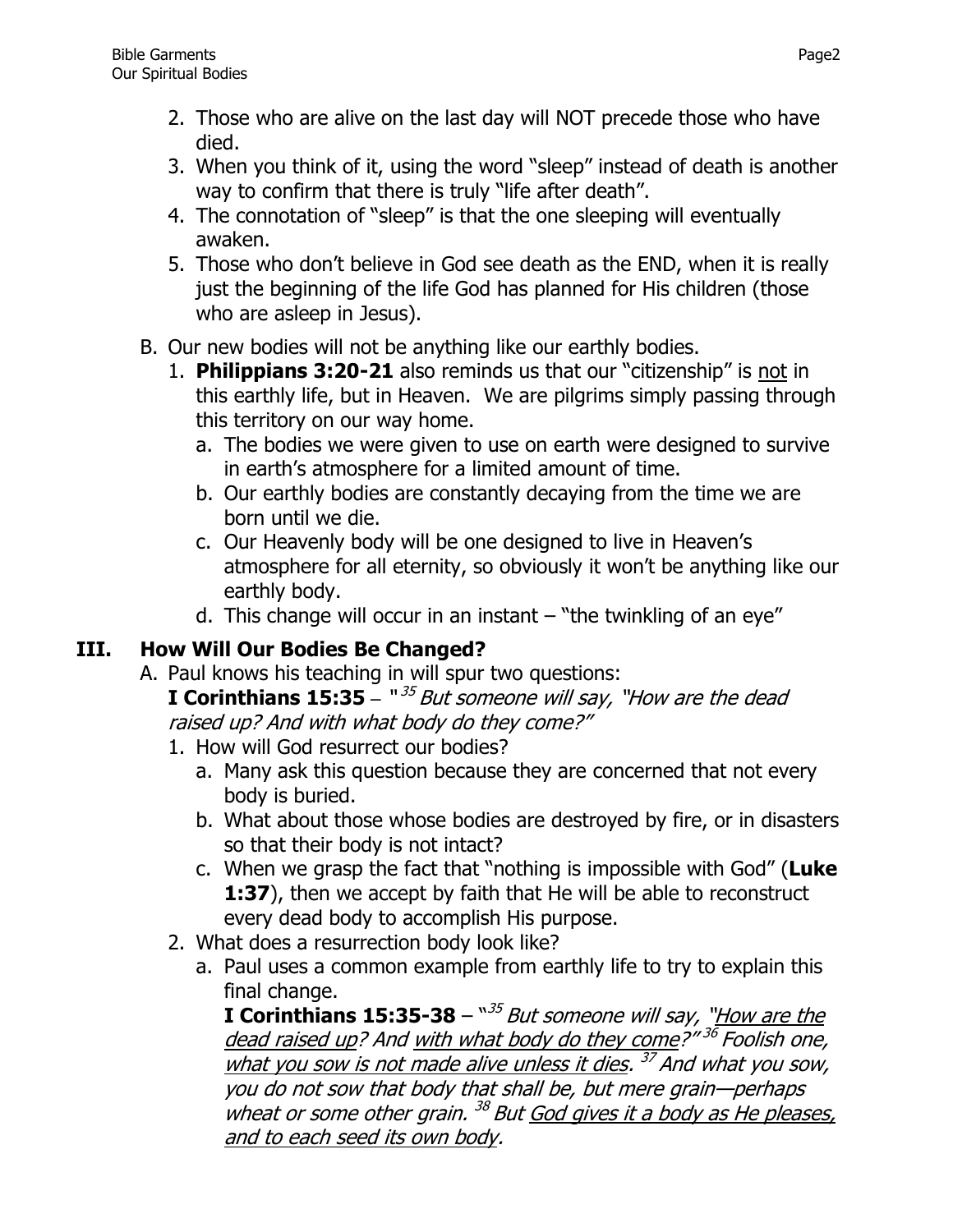- 2. Those who are alive on the last day will NOT precede those who have died.
- 3. When you think of it, using the word "sleep" instead of death is another way to confirm that there is truly "life after death".
- 4. The connotation of "sleep" is that the one sleeping will eventually awaken.
- 5. Those who don't believe in God see death as the END, when it is really just the beginning of the life God has planned for His children (those who are asleep in Jesus).
- B. Our new bodies will not be anything like our earthly bodies.
	- 1. **Philippians 3:20-21** also reminds us that our "citizenship" is not in this earthly life, but in Heaven. We are pilgrims simply passing through this territory on our way home.
		- a. The bodies we were given to use on earth were designed to survive in earth's atmosphere for a limited amount of time.
		- b. Our earthly bodies are constantly decaying from the time we are born until we die.
		- c. Our Heavenly body will be one designed to live in Heaven's atmosphere for all eternity, so obviously it won't be anything like our earthly body.
		- d. This change will occur in an instant  $-$  "the twinkling of an eye"

## **III. How Will Our Bodies Be Changed?**

- A. Paul knows his teaching in will spur two questions: **I Corinthians 15:35** – "<sup>35</sup> But someone will say, "How are the dead raised up? And with what body do they come?"
	- 1. How will God resurrect our bodies?
		- a. Many ask this question because they are concerned that not every body is buried.
		- b. What about those whose bodies are destroyed by fire, or in disasters so that their body is not intact?
		- c. When we grasp the fact that "nothing is impossible with God" (**Luke 1:37**), then we accept by faith that He will be able to reconstruct every dead body to accomplish His purpose.
	- 2. What does a resurrection body look like?
		- a. Paul uses a common example from earthly life to try to explain this final change.

**I Corinthians 15:35-38** – `*`<sup>35</sup> But someone will say, `<u>'How are the</u>* dead raised up? And <u>with what body do they come</u>?" <sup>36</sup> Foolish one, what you sow is not made alive unless it dies. <sup>37</sup> And what you sow, you do not sow that body that shall be, but mere grain—perhaps wheat or some other grain. <sup>38</sup> But God gives it a body as He pleases, and to each seed its own body.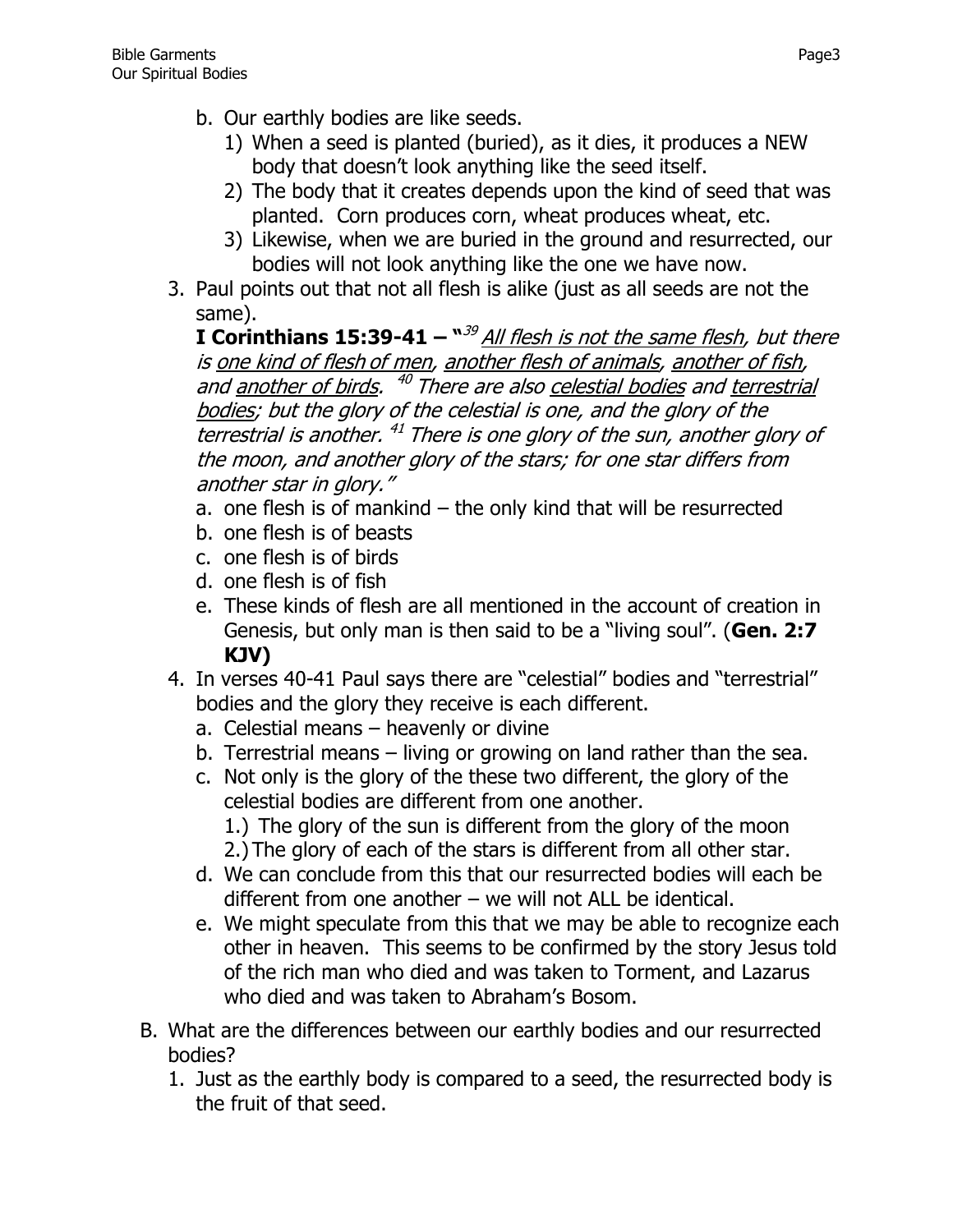- b. Our earthly bodies are like seeds.
	- 1) When a seed is planted (buried), as it dies, it produces a NEW body that doesn't look anything like the seed itself.
	- 2) The body that it creates depends upon the kind of seed that was planted. Corn produces corn, wheat produces wheat, etc.
	- 3) Likewise, when we are buried in the ground and resurrected, our bodies will not look anything like the one we have now.
- 3. Paul points out that not all flesh is alike (just as all seeds are not the same).

**I Corinthians 15:39-41 –**  $^{\text{w39}}$  **All flesh is not the same flesh, but there** is one kind of flesh of men, another flesh of animals, another of fish, and another of birds. <sup>40</sup> There are also celestial bodies and terrestrial bodies; but the glory of the celestial is one, and the glory of the terrestrial is another. <sup>41</sup> There is one glory of the sun, another glory of the moon, and another glory of the stars; for one star differs from another star in glory."

- a. one flesh is of mankind the only kind that will be resurrected
- b. one flesh is of beasts
- c. one flesh is of birds
- d. one flesh is of fish
- e. These kinds of flesh are all mentioned in the account of creation in Genesis, but only man is then said to be a "living soul". (**Gen. 2:7 KJV)**
- 4. In verses 40-41 Paul says there are "celestial" bodies and "terrestrial" bodies and the glory they receive is each different.
	- a. Celestial means heavenly or divine
	- b. Terrestrial means living or growing on land rather than the sea.
	- c. Not only is the glory of the these two different, the glory of the celestial bodies are different from one another.
		- 1.) The glory of the sun is different from the glory of the moon 2.) The glory of each of the stars is different from all other star.
	- d. We can conclude from this that our resurrected bodies will each be different from one another – we will not ALL be identical.
	- e. We might speculate from this that we may be able to recognize each other in heaven. This seems to be confirmed by the story Jesus told of the rich man who died and was taken to Torment, and Lazarus who died and was taken to Abraham's Bosom.
- B. What are the differences between our earthly bodies and our resurrected bodies?
	- 1. Just as the earthly body is compared to a seed, the resurrected body is the fruit of that seed.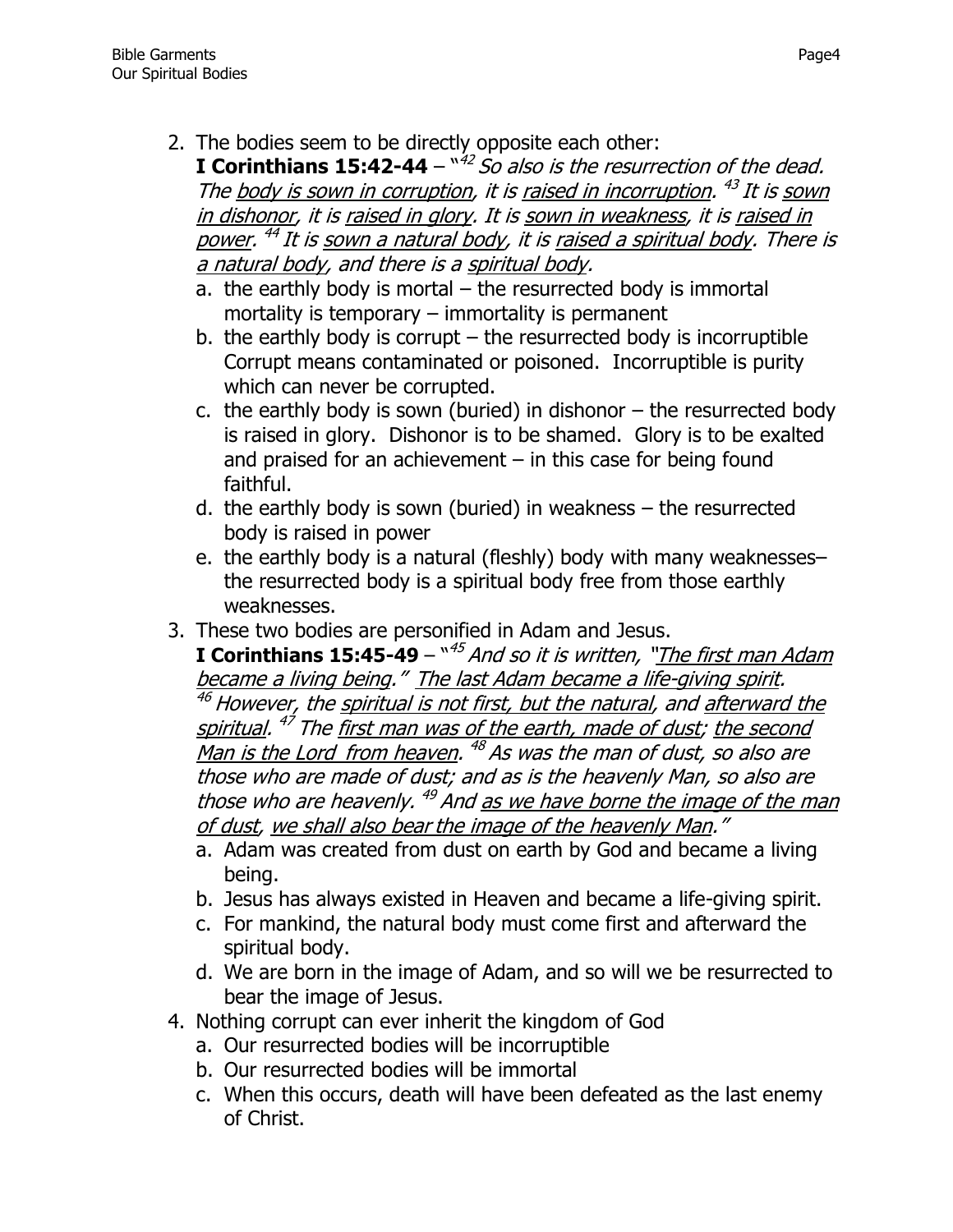2. The bodies seem to be directly opposite each other:

**I Corinthians 15:42-44** – " 42 So also is the resurrection of the dead. The <u>body is sown in corruption</u>, it is <u>raised in incorruption</u>. <sup>43</sup> It is sown in dishonor, it is raised in glory. It is sown in weakness, it is raised in power. <sup>44</sup> It is <u>sown a natural body</u>, it is <u>raised a spiritual body</u>. There is a natural body, and there is a spiritual body.

- a. the earthly body is mortal the resurrected body is immortal mortality is temporary – immortality is permanent
- b. the earthly body is corrupt  $-$  the resurrected body is incorruptible Corrupt means contaminated or poisoned. Incorruptible is purity which can never be corrupted.
- c. the earthly body is sown (buried) in dishonor  $-$  the resurrected body is raised in glory. Dishonor is to be shamed. Glory is to be exalted and praised for an achievement  $-$  in this case for being found faithful.
- d. the earthly body is sown (buried) in weakness the resurrected body is raised in power
- e. the earthly body is a natural (fleshly) body with many weaknesses– the resurrected body is a spiritual body free from those earthly weaknesses.
- 3. These two bodies are personified in Adam and Jesus.

**I Corinthians 15:45-49** –  $``^{45}$  And so it is written, "<u>The first man Adam</u> became a living being." The last Adam became a life-giving spirit.  $46$  However, the spiritual is not first, but the natural, and afterward the <u>spiritual. <sup>47</sup> The first man was of the earth, made of dust; the second</u> <u>Man is the Lord\_from heaven</u>. <sup>48</sup> As was the man of dust, so also are those who are made of dust; and as is the heavenly Man, so also are those who are heavenly. <sup>49</sup> And <u>as we have borne the image of the man</u> of dust, we shall also bear the image of the heavenly Man."

- a. Adam was created from dust on earth by God and became a living being.
- b. Jesus has always existed in Heaven and became a life-giving spirit.
- c. For mankind, the natural body must come first and afterward the spiritual body.
- d. We are born in the image of Adam, and so will we be resurrected to bear the image of Jesus.
- 4. Nothing corrupt can ever inherit the kingdom of God
	- a. Our resurrected bodies will be incorruptible
	- b. Our resurrected bodies will be immortal
	- c. When this occurs, death will have been defeated as the last enemy of Christ.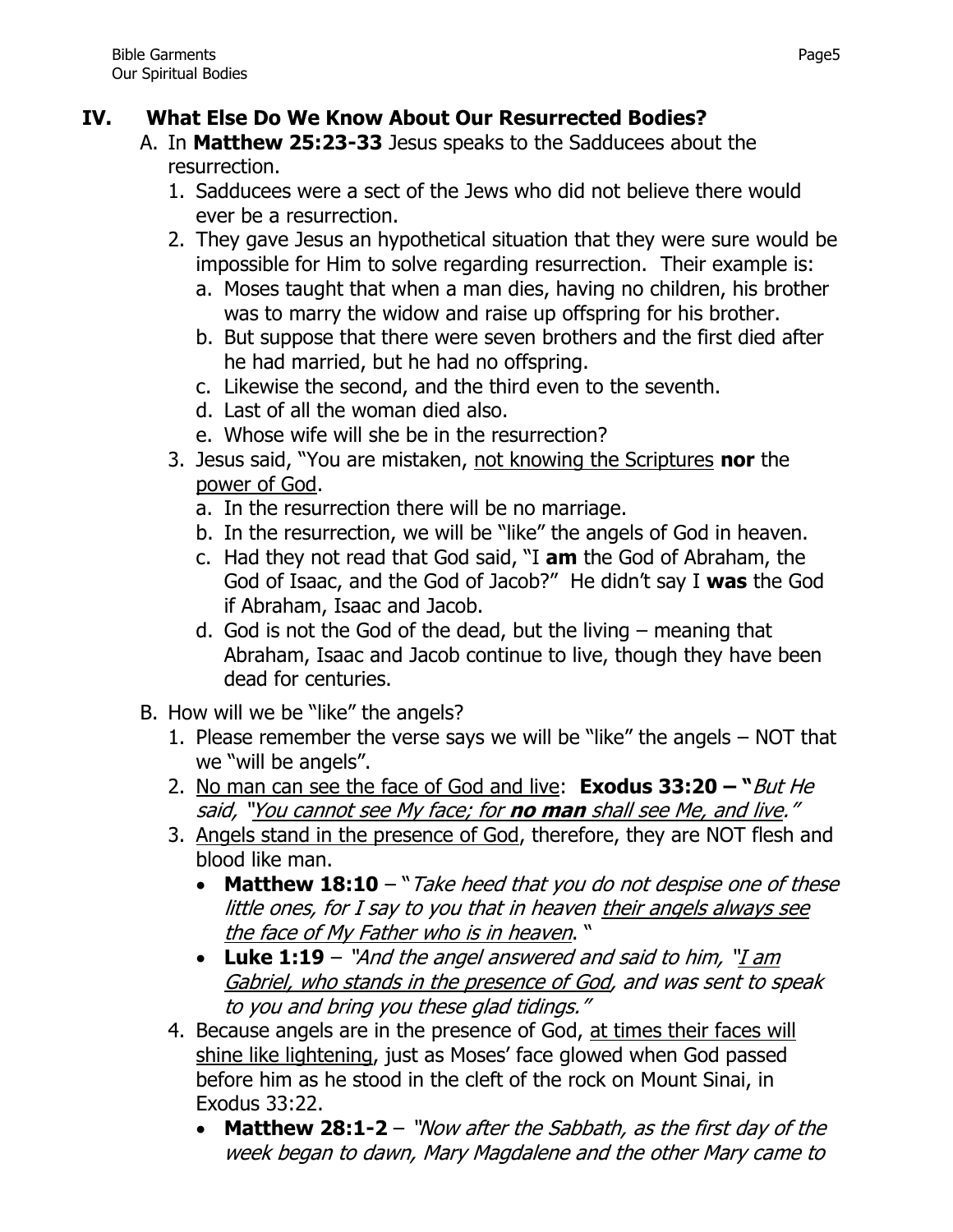## **IV. What Else Do We Know About Our Resurrected Bodies?**

- A. In **Matthew 25:23-33** Jesus speaks to the Sadducees about the resurrection.
	- 1. Sadducees were a sect of the Jews who did not believe there would ever be a resurrection.
	- 2. They gave Jesus an hypothetical situation that they were sure would be impossible for Him to solve regarding resurrection. Their example is:
		- a. Moses taught that when a man dies, having no children, his brother was to marry the widow and raise up offspring for his brother.
		- b. But suppose that there were seven brothers and the first died after he had married, but he had no offspring.
		- c. Likewise the second, and the third even to the seventh.
		- d. Last of all the woman died also.
		- e. Whose wife will she be in the resurrection?
	- 3. Jesus said, "You are mistaken, not knowing the Scriptures **nor** the power of God.
		- a. In the resurrection there will be no marriage.
		- b. In the resurrection, we will be "like" the angels of God in heaven.
		- c. Had they not read that God said, "I **am** the God of Abraham, the God of Isaac, and the God of Jacob?" He didn't say I **was** the God if Abraham, Isaac and Jacob.
		- d. God is not the God of the dead, but the living meaning that Abraham, Isaac and Jacob continue to live, though they have been dead for centuries.
- B. How will we be "like" the angels?
	- 1. Please remember the verse says we will be "like" the angels NOT that we "will be angels".
	- 2. No man can see the face of God and live: **Exodus 33:20 – "**But He said, "You cannot see My face; for **no man** shall see Me, and live."
	- 3. Angels stand in the presence of God, therefore, they are NOT flesh and blood like man.
		- **Matthew 18:10** "Take heed that you do not despise one of these little ones, for I say to you that in heaven their angels always see the face of My Father who is in heaven. "
		- **Luke 1:19** "And the angel answered and said to him, "I am Gabriel, who stands in the presence of God, and was sent to speak to you and bring you these glad tidings."
	- 4. Because angels are in the presence of God, at times their faces will shine like lightening, just as Moses' face glowed when God passed before him as he stood in the cleft of the rock on Mount Sinai, in Exodus 33:22.
		- **Matthew 28:1-2**  "Now after the Sabbath, as the first day of the week began to dawn, Mary Magdalene and the other Mary came to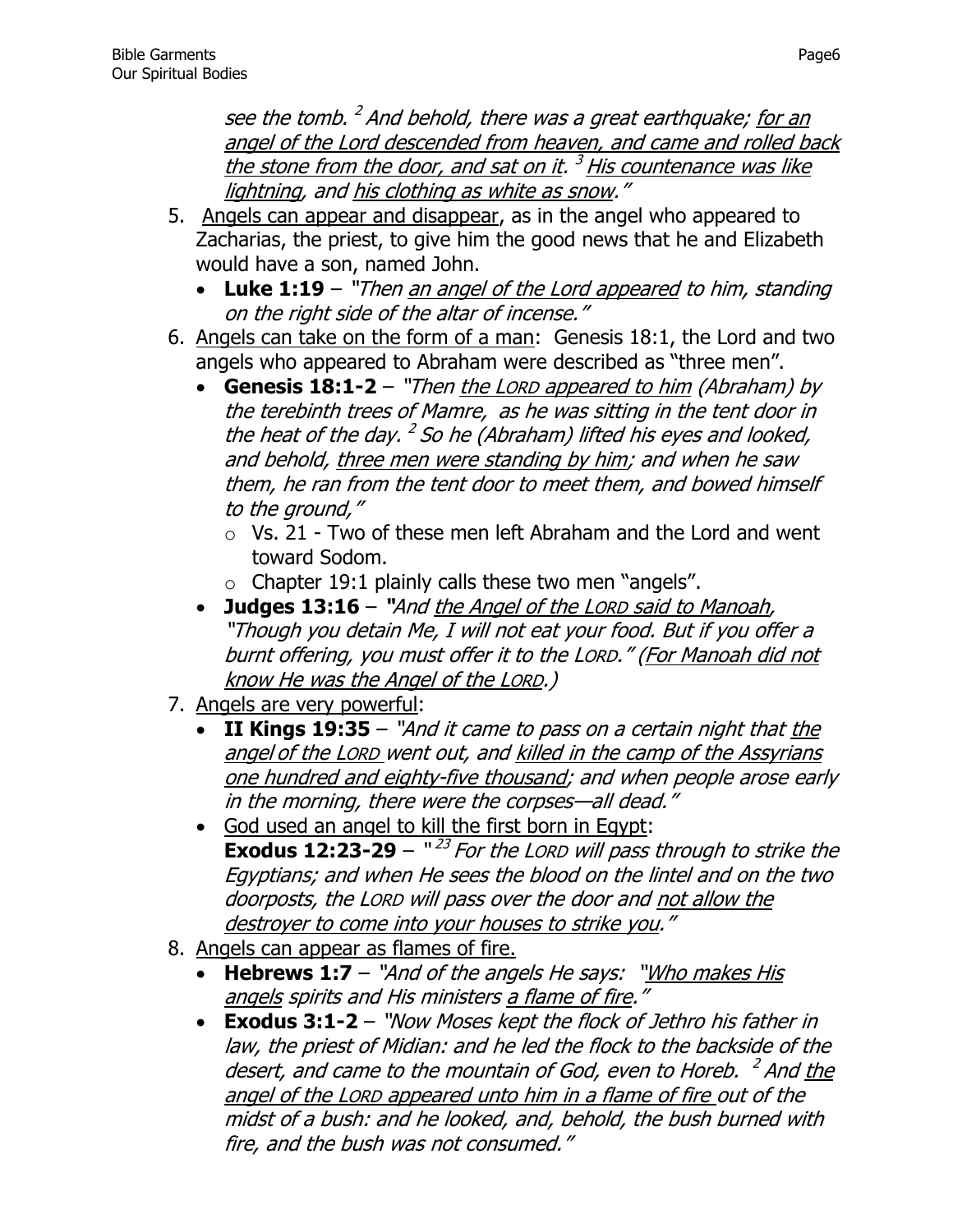see the tomb. <sup>2</sup> And behold, there was a great earthquake; <u>for an</u> angel of the Lord descended from heaven, and came and rolled back the stone from the door, and sat on it. <sup>3</sup> His countenance was like lightning, and his clothing as white as snow."

- 5. Angels can appear and disappear, as in the angel who appeared to Zacharias, the priest, to give him the good news that he and Elizabeth would have a son, named John.
	- Luke 1:19 "Then an angel of the Lord appeared to him, standing on the right side of the altar of incense."
- 6. Angels can take on the form of a man: Genesis 18:1, the Lord and two angels who appeared to Abraham were described as "three men".
	- Genesis 18:1-2 "Then the LORD appeared to him (Abraham) by the terebinth trees of Mamre, as he was sitting in the tent door in the heat of the day. <sup>2</sup> So he (Abraham) lifted his eyes and looked, and behold, three men were standing by him; and when he saw them, he ran from the tent door to meet them, and bowed himself to the ground,"
		- $\circ$  Vs. 21 Two of these men left Abraham and the Lord and went toward Sodom.
		- $\circ$  Chapter 19:1 plainly calls these two men "angels".
	- Judges 13:16 "And the Angel of the LORD said to Manoah, "Though you detain Me, I will not eat your food. But if you offer a burnt offering, you must offer it to the LORD." (For Manoah did not know He was the Angel of the LORD.)
- 7. Angels are very powerful:
	- **II Kings 19:35**  "And it came to pass on a certain night that the angel of the LORD went out, and killed in the camp of the Assyrians one hundred and eighty-five thousand; and when people arose early in the morning, there were the corpses—all dead."
	- God used an angel to kill the first born in Egypt: **Exodus 12:23-29** –  $"^{23}$  For the LORD will pass through to strike the Egyptians; and when He sees the blood on the lintel and on the two doorposts, the LORD will pass over the door and not allow the destroyer to come into your houses to strike you."
- 8. Angels can appear as flames of fire.
	- Hebrews 1:7 "And of the angels He says: "Who makes His angels spirits and His ministers a flame of fire."
	- **Exodus 3:1-2**  "Now Moses kept the flock of Jethro his father in law, the priest of Midian: and he led the flock to the backside of the desert, and came to the mountain of God, even to Horeb. <sup>2</sup> And the angel of the LORD appeared unto him in a flame of fire out of the midst of a bush: and he looked, and, behold, the bush burned with fire, and the bush was not consumed."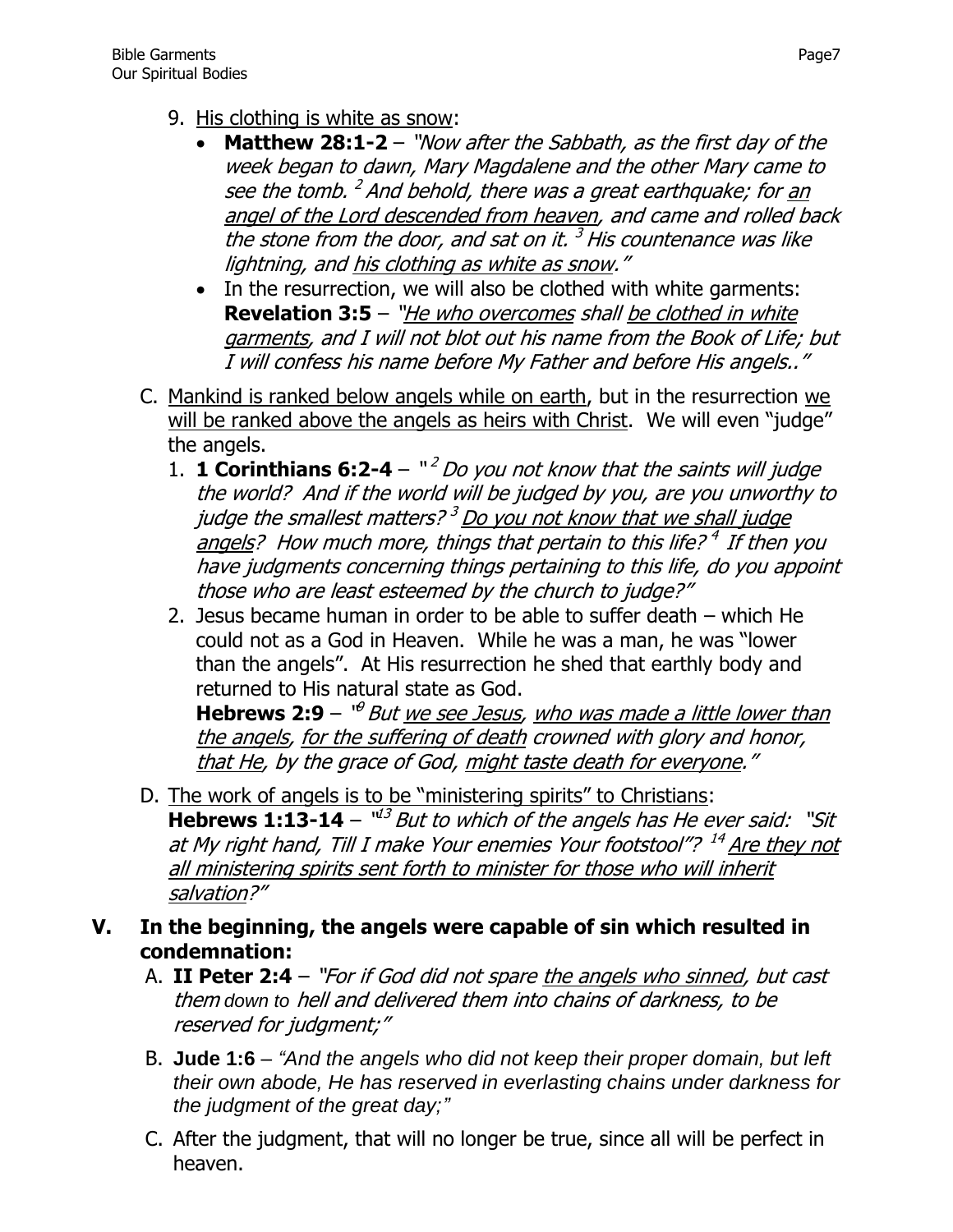- 9. His clothing is white as snow:
	- **Matthew 28:1-2** "Now after the Sabbath, as the first day of the week began to dawn, Mary Magdalene and the other Mary came to see the tomb. <sup>2</sup> And behold, there was a great earthquake; for <u>an</u> angel of the Lord descended from heaven, and came and rolled back the stone from the door, and sat on it.  $3$  His countenance was like lightning, and his clothing as white as snow."
	- In the resurrection, we will also be clothed with white garments: **[Revelation 3:5](http://www.biblegateway.com/passage/?search=Revelation+3:5&version=KJV)** – "*He who overcomes shall be clothed in white* garments, and I will not blot out his name from the Book of Life; but I will confess his name before My Father and before His angels.."
- C. Mankind is ranked below angels while on earth, but in the resurrection we will be ranked above the angels as heirs with Christ. We will even "judge" the angels.
	- 1. **1 Corinthians 6:2-4**  $\frac{12}{2}$  *Do you not know that the saints will judge* the world? And if the world will be judged by you, are you unworthy to judge the smallest matters?<sup>3</sup> Do you not know that we shall judge angels? How much more, things that pertain to this life?<sup>4</sup> If then you have judgments concerning things pertaining to this life, do you appoint those who are least esteemed by the church to judge?"
	- 2. Jesus became human in order to be able to suffer death which He could not as a God in Heaven. While he was a man, he was "lower than the angels". At His resurrection he shed that earthly body and returned to His natural state as God.

**Hebrews 2:9** – "<sup>9</sup> But <u>we see Jesus</u>, <u>who was made a little lower than</u> the angels, for the suffering of death crowned with glory and honor, that He, by the grace of God, might taste death for everyone."

- D. The work of angels is to be "ministering spirits" to Christians: **Hebrews 1:13-14** –  $^{\mathsf{u2}}$  But to which of the angels has He ever said: "Sit at My right hand, Till I make Your enemies Your footstool"? <sup>14</sup> Are they not all ministering spirits sent forth to minister for those who will inherit salvation?"
- **V. In the beginning, the angels were capable of sin which resulted in condemnation:**
	- A. **II Peter 2:4** "For if God did not spare the angels who sinned, but cast them *down to* hell and delivered them into chains of darkness, to be reserved for judgment;"
	- B. **[Jude 1:6](http://www.biblegateway.com/passage/?search=Jude+1:6&version=KJV)** *"And the angels who did not keep their proper domain, but left their own abode, He has reserved in everlasting chains under darkness for the judgment of the great day;"*
	- C. After the judgment, that will no longer be true, since all will be perfect in heaven.